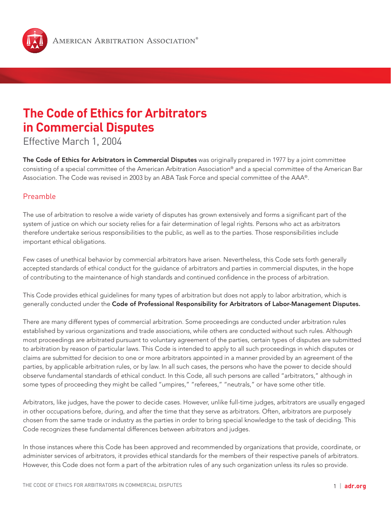

# **The Code of Ethics for Arbitrators in Commercial Disputes**

Effective March 1, 2004

The Code of Ethics for Arbitrators in Commercial Disputes was originally prepared in 1977 by a joint committee consisting of a special committee of the American Arbitration Association® and a special committee of the American Bar Association. The Code was revised in 2003 by an ABA Task Force and special committee of the AAA®.

# Preamble

The use of arbitration to resolve a wide variety of disputes has grown extensively and forms a significant part of the system of justice on which our society relies for a fair determination of legal rights. Persons who act as arbitrators therefore undertake serious responsibilities to the public, as well as to the parties. Those responsibilities include important ethical obligations.

Few cases of unethical behavior by commercial arbitrators have arisen. Nevertheless, this Code sets forth generally accepted standards of ethical conduct for the guidance of arbitrators and parties in commercial disputes, in the hope of contributing to the maintenance of high standards and continued confidence in the process of arbitration.

This Code provides ethical guidelines for many types of arbitration but does not apply to labor arbitration, which is generally conducted under the Code of Professional Responsibility for Arbitrators of Labor-Management Disputes.

There are many different types of commercial arbitration. Some proceedings are conducted under arbitration rules established by various organizations and trade associations, while others are conducted without such rules. Although most proceedings are arbitrated pursuant to voluntary agreement of the parties, certain types of disputes are submitted to arbitration by reason of particular laws. This Code is intended to apply to all such proceedings in which disputes or claims are submitted for decision to one or more arbitrators appointed in a manner provided by an agreement of the parties, by applicable arbitration rules, or by law. In all such cases, the persons who have the power to decide should observe fundamental standards of ethical conduct. In this Code, all such persons are called "arbitrators," although in some types of proceeding they might be called "umpires," "referees," "neutrals," or have some other title.

Arbitrators, like judges, have the power to decide cases. However, unlike full-time judges, arbitrators are usually engaged in other occupations before, during, and after the time that they serve as arbitrators. Often, arbitrators are purposely chosen from the same trade or industry as the parties in order to bring special knowledge to the task of deciding. This Code recognizes these fundamental differences between arbitrators and judges.

In those instances where this Code has been approved and recommended by organizations that provide, coordinate, or administer services of arbitrators, it provides ethical standards for the members of their respective panels of arbitrators. However, this Code does not form a part of the arbitration rules of any such organization unless its rules so provide.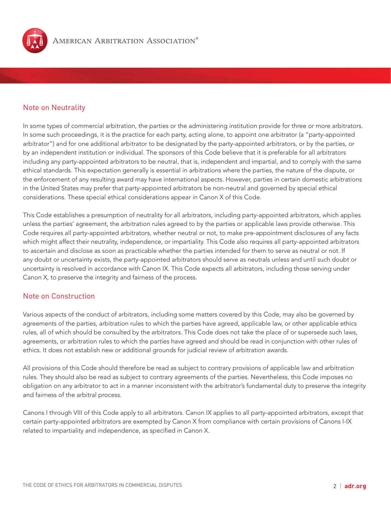

## Note on Neutrality

In some types of commercial arbitration, the parties or the administering institution provide for three or more arbitrators. In some such proceedings, it is the practice for each party, acting alone, to appoint one arbitrator (a "party-appointed arbitrator") and for one additional arbitrator to be designated by the party-appointed arbitrators, or by the parties, or by an independent institution or individual. The sponsors of this Code believe that it is preferable for all arbitrators including any party-appointed arbitrators to be neutral, that is, independent and impartial, and to comply with the same ethical standards. This expectation generally is essential in arbitrations where the parties, the nature of the dispute, or the enforcement of any resulting award may have international aspects. However, parties in certain domestic arbitrations in the United States may prefer that party-appointed arbitrators be non-neutral and governed by special ethical considerations. These special ethical considerations appear in Canon X of this Code.

This Code establishes a presumption of neutrality for all arbitrators, including party-appointed arbitrators, which applies unless the parties' agreement, the arbitration rules agreed to by the parties or applicable laws provide otherwise. This Code requires all party-appointed arbitrators, whether neutral or not, to make pre-appointment disclosures of any facts which might affect their neutrality, independence, or impartiality. This Code also requires all party-appointed arbitrators to ascertain and disclose as soon as practicable whether the parties intended for them to serve as neutral or not. If any doubt or uncertainty exists, the party-appointed arbitrators should serve as neutrals unless and until such doubt or uncertainty is resolved in accordance with Canon IX. This Code expects all arbitrators, including those serving under Canon X, to preserve the integrity and fairness of the process.

## Note on Construction

Various aspects of the conduct of arbitrators, including some matters covered by this Code, may also be governed by agreements of the parties, arbitration rules to which the parties have agreed, applicable law, or other applicable ethics rules, all of which should be consulted by the arbitrators. This Code does not take the place of or supersede such laws, agreements, or arbitration rules to which the parties have agreed and should be read in conjunction with other rules of ethics. It does not establish new or additional grounds for judicial review of arbitration awards.

All provisions of this Code should therefore be read as subject to contrary provisions of applicable law and arbitration rules. They should also be read as subject to contrary agreements of the parties. Nevertheless, this Code imposes no obligation on any arbitrator to act in a manner inconsistent with the arbitrator's fundamental duty to preserve the integrity and fairness of the arbitral process.

Canons I through VIII of this Code apply to all arbitrators. Canon IX applies to all party-appointed arbitrators, except that certain party-appointed arbitrators are exempted by Canon X from compliance with certain provisions of Canons I-IX related to impartiality and independence, as specified in Canon X.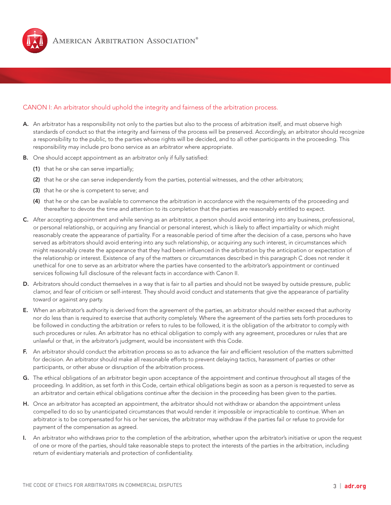

#### CANON I: An arbitrator should uphold the integrity and fairness of the arbitration process.

- A. An arbitrator has a responsibility not only to the parties but also to the process of arbitration itself, and must observe high standards of conduct so that the integrity and fairness of the process will be preserved. Accordingly, an arbitrator should recognize a responsibility to the public, to the parties whose rights will be decided, and to all other participants in the proceeding. This responsibility may include pro bono service as an arbitrator where appropriate.
- B. One should accept appointment as an arbitrator only if fully satisfied:
	- (1) that he or she can serve impartially;
	- (2) that he or she can serve independently from the parties, potential witnesses, and the other arbitrators;
	- (3) that he or she is competent to serve; and
	- (4) that he or she can be available to commence the arbitration in accordance with the requirements of the proceeding and thereafter to devote the time and attention to its completion that the parties are reasonably entitled to expect.
- C. After accepting appointment and while serving as an arbitrator, a person should avoid entering into any business, professional, or personal relationship, or acquiring any financial or personal interest, which is likely to affect impartiality or which might reasonably create the appearance of partiality. For a reasonable period of time after the decision of a case, persons who have served as arbitrators should avoid entering into any such relationship, or acquiring any such interest, in circumstances which might reasonably create the appearance that they had been influenced in the arbitration by the anticipation or expectation of the relationship or interest. Existence of any of the matters or circumstances described in this paragraph C does not render it unethical for one to serve as an arbitrator where the parties have consented to the arbitrator's appointment or continued services following full disclosure of the relevant facts in accordance with Canon II.
- D. Arbitrators should conduct themselves in a way that is fair to all parties and should not be swayed by outside pressure, public clamor, and fear of criticism or self-interest. They should avoid conduct and statements that give the appearance of partiality toward or against any party.
- E. When an arbitrator's authority is derived from the agreement of the parties, an arbitrator should neither exceed that authority nor do less than is required to exercise that authority completely. Where the agreement of the parties sets forth procedures to be followed in conducting the arbitration or refers to rules to be followed, it is the obligation of the arbitrator to comply with such procedures or rules. An arbitrator has no ethical obligation to comply with any agreement, procedures or rules that are unlawful or that, in the arbitrator's judgment, would be inconsistent with this Code.
- F. An arbitrator should conduct the arbitration process so as to advance the fair and efficient resolution of the matters submitted for decision. An arbitrator should make all reasonable efforts to prevent delaying tactics, harassment of parties or other participants, or other abuse or disruption of the arbitration process.
- G. The ethical obligations of an arbitrator begin upon acceptance of the appointment and continue throughout all stages of the proceeding. In addition, as set forth in this Code, certain ethical obligations begin as soon as a person is requested to serve as an arbitrator and certain ethical obligations continue after the decision in the proceeding has been given to the parties.
- H. Once an arbitrator has accepted an appointment, the arbitrator should not withdraw or abandon the appointment unless compelled to do so by unanticipated circumstances that would render it impossible or impracticable to continue. When an arbitrator is to be compensated for his or her services, the arbitrator may withdraw if the parties fail or refuse to provide for payment of the compensation as agreed.
- I. An arbitrator who withdraws prior to the completion of the arbitration, whether upon the arbitrator's initiative or upon the request of one or more of the parties, should take reasonable steps to protect the interests of the parties in the arbitration, including return of evidentiary materials and protection of confidentiality.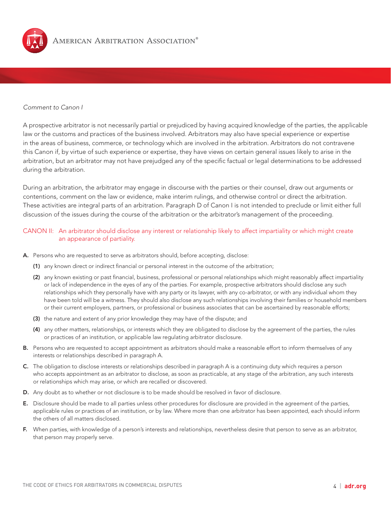

#### *Comment to Canon I*

A prospective arbitrator is not necessarily partial or prejudiced by having acquired knowledge of the parties, the applicable law or the customs and practices of the business involved. Arbitrators may also have special experience or expertise in the areas of business, commerce, or technology which are involved in the arbitration. Arbitrators do not contravene this Canon if, by virtue of such experience or expertise, they have views on certain general issues likely to arise in the arbitration, but an arbitrator may not have prejudged any of the specific factual or legal determinations to be addressed during the arbitration.

During an arbitration, the arbitrator may engage in discourse with the parties or their counsel, draw out arguments or contentions, comment on the law or evidence, make interim rulings, and otherwise control or direct the arbitration. These activities are integral parts of an arbitration. Paragraph D of Canon I is not intended to preclude or limit either full discussion of the issues during the course of the arbitration or the arbitrator's management of the proceeding.

## CANON II: An arbitrator should disclose any interest or relationship likely to affect impartiality or which might create an appearance of partiality.

- A. Persons who are requested to serve as arbitrators should, before accepting, disclose:
	- (1) any known direct or indirect financial or personal interest in the outcome of the arbitration;
	- (2) any known existing or past financial, business, professional or personal relationships which might reasonably affect impartiality or lack of independence in the eyes of any of the parties. For example, prospective arbitrators should disclose any such relationships which they personally have with any party or its lawyer, with any co-arbitrator, or with any individual whom they have been told will be a witness. They should also disclose any such relationships involving their families or household members or their current employers, partners, or professional or business associates that can be ascertained by reasonable efforts;
	- (3) the nature and extent of any prior knowledge they may have of the dispute; and
	- (4) any other matters, relationships, or interests which they are obligated to disclose by the agreement of the parties, the rules or practices of an institution, or applicable law regulating arbitrator disclosure.
- B. Persons who are requested to accept appointment as arbitrators should make a reasonable effort to inform themselves of any interests or relationships described in paragraph A.
- C. The obligation to disclose interests or relationships described in paragraph A is a continuing duty which requires a person who accepts appointment as an arbitrator to disclose, as soon as practicable, at any stage of the arbitration, any such interests or relationships which may arise, or which are recalled or discovered.
- D. Any doubt as to whether or not disclosure is to be made should be resolved in favor of disclosure.
- E. Disclosure should be made to all parties unless other procedures for disclosure are provided in the agreement of the parties, applicable rules or practices of an institution, or by law. Where more than one arbitrator has been appointed, each should inform the others of all matters disclosed.
- F. When parties, with knowledge of a person's interests and relationships, nevertheless desire that person to serve as an arbitrator, that person may properly serve.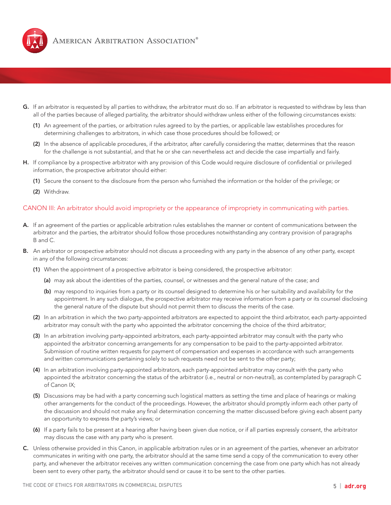

- G. If an arbitrator is requested by all parties to withdraw, the arbitrator must do so. If an arbitrator is requested to withdraw by less than all of the parties because of alleged partiality, the arbitrator should withdraw unless either of the following circumstances exists:
	- (1) An agreement of the parties, or arbitration rules agreed to by the parties, or applicable law establishes procedures for determining challenges to arbitrators, in which case those procedures should be followed; or
	- (2) In the absence of applicable procedures, if the arbitrator, after carefully considering the matter, determines that the reason for the challenge is not substantial, and that he or she can nevertheless act and decide the case impartially and fairly.
- H. If compliance by a prospective arbitrator with any provision of this Code would require disclosure of confidential or privileged information, the prospective arbitrator should either:
	- (1) Secure the consent to the disclosure from the person who furnished the information or the holder of the privilege; or
	- (2) Withdraw.

#### CANON III: An arbitrator should avoid impropriety or the appearance of impropriety in communicating with parties.

- A. If an agreement of the parties or applicable arbitration rules establishes the manner or content of communications between the arbitrator and the parties, the arbitrator should follow those procedures notwithstanding any contrary provision of paragraphs B and C.
- B. An arbitrator or prospective arbitrator should not discuss a proceeding with any party in the absence of any other party, except in any of the following circumstances:
	- (1) When the appointment of a prospective arbitrator is being considered, the prospective arbitrator:
		- (a) may ask about the identities of the parties, counsel, or witnesses and the general nature of the case; and
		- (b) may respond to inquiries from a party or its counsel designed to determine his or her suitability and availability for the appointment. In any such dialogue, the prospective arbitrator may receive information from a party or its counsel disclosing the general nature of the dispute but should not permit them to discuss the merits of the case.
	- (2) In an arbitration in which the two party-appointed arbitrators are expected to appoint the third arbitrator, each party-appointed arbitrator may consult with the party who appointed the arbitrator concerning the choice of the third arbitrator;
	- (3) In an arbitration involving party-appointed arbitrators, each party-appointed arbitrator may consult with the party who appointed the arbitrator concerning arrangements for any compensation to be paid to the party-appointed arbitrator. Submission of routine written requests for payment of compensation and expenses in accordance with such arrangements and written communications pertaining solely to such requests need not be sent to the other party;
	- (4) In an arbitration involving party-appointed arbitrators, each party-appointed arbitrator may consult with the party who appointed the arbitrator concerning the status of the arbitrator (i.e., neutral or non-neutral), as contemplated by paragraph C of Canon IX;
	- (5) Discussions may be had with a party concerning such logistical matters as setting the time and place of hearings or making other arrangements for the conduct of the proceedings. However, the arbitrator should promptly inform each other party of the discussion and should not make any final determination concerning the matter discussed before giving each absent party an opportunity to express the party's views; or
	- (6) If a party fails to be present at a hearing after having been given due notice, or if all parties expressly consent, the arbitrator may discuss the case with any party who is present.
- C. Unless otherwise provided in this Canon, in applicable arbitration rules or in an agreement of the parties, whenever an arbitrator communicates in writing with one party, the arbitrator should at the same time send a copy of the communication to every other party, and whenever the arbitrator receives any written communication concerning the case from one party which has not already been sent to every other party, the arbitrator should send or cause it to be sent to the other parties.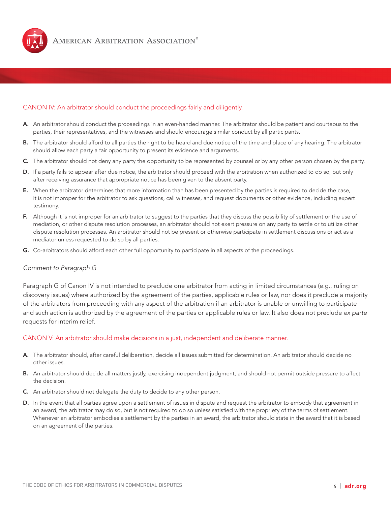

#### CANON IV: An arbitrator should conduct the proceedings fairly and diligently.

- A. An arbitrator should conduct the proceedings in an even-handed manner. The arbitrator should be patient and courteous to the parties, their representatives, and the witnesses and should encourage similar conduct by all participants.
- B. The arbitrator should afford to all parties the right to be heard and due notice of the time and place of any hearing. The arbitrator should allow each party a fair opportunity to present its evidence and arguments.
- C. The arbitrator should not deny any party the opportunity to be represented by counsel or by any other person chosen by the party.
- D. If a party fails to appear after due notice, the arbitrator should proceed with the arbitration when authorized to do so, but only after receiving assurance that appropriate notice has been given to the absent party.
- E. When the arbitrator determines that more information than has been presented by the parties is required to decide the case, it is not improper for the arbitrator to ask questions, call witnesses, and request documents or other evidence, including expert testimony.
- F. Although it is not improper for an arbitrator to suggest to the parties that they discuss the possibility of settlement or the use of mediation, or other dispute resolution processes, an arbitrator should not exert pressure on any party to settle or to utilize other dispute resolution processes. An arbitrator should not be present or otherwise participate in settlement discussions or act as a mediator unless requested to do so by all parties.
- G. Co-arbitrators should afford each other full opportunity to participate in all aspects of the proceedings.

#### *Comment to Paragraph G*

Paragraph G of Canon IV is not intended to preclude one arbitrator from acting in limited circumstances (e.g., ruling on discovery issues) where authorized by the agreement of the parties, applicable rules or law, nor does it preclude a majority of the arbitrators from proceeding with any aspect of the arbitration if an arbitrator is unable or unwilling to participate and such action is authorized by the agreement of the parties or applicable rules or law. It also does not preclude *ex parte* requests for interim relief.

#### CANON V: An arbitrator should make decisions in a just, independent and deliberate manner.

- A. The arbitrator should, after careful deliberation, decide all issues submitted for determination. An arbitrator should decide no other issues.
- B. An arbitrator should decide all matters justly, exercising independent judgment, and should not permit outside pressure to affect the decision.
- C. An arbitrator should not delegate the duty to decide to any other person.
- D. In the event that all parties agree upon a settlement of issues in dispute and request the arbitrator to embody that agreement in an award, the arbitrator may do so, but is not required to do so unless satisfied with the propriety of the terms of settlement. Whenever an arbitrator embodies a settlement by the parties in an award, the arbitrator should state in the award that it is based on an agreement of the parties.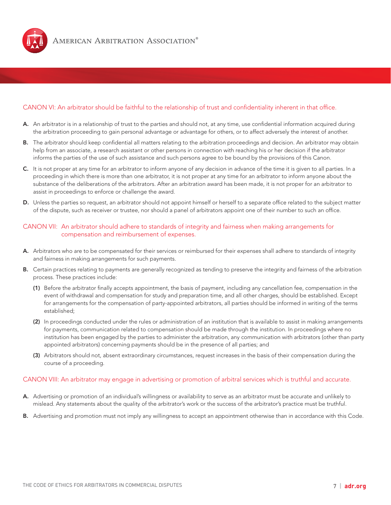

#### CANON VI: An arbitrator should be faithful to the relationship of trust and confidentiality inherent in that office.

- A. An arbitrator is in a relationship of trust to the parties and should not, at any time, use confidential information acquired during the arbitration proceeding to gain personal advantage or advantage for others, or to affect adversely the interest of another.
- B. The arbitrator should keep confidential all matters relating to the arbitration proceedings and decision. An arbitrator may obtain help from an associate, a research assistant or other persons in connection with reaching his or her decision if the arbitrator informs the parties of the use of such assistance and such persons agree to be bound by the provisions of this Canon.
- C. It is not proper at any time for an arbitrator to inform anyone of any decision in advance of the time it is given to all parties. In a proceeding in which there is more than one arbitrator, it is not proper at any time for an arbitrator to inform anyone about the substance of the deliberations of the arbitrators. After an arbitration award has been made, it is not proper for an arbitrator to assist in proceedings to enforce or challenge the award.
- D. Unless the parties so request, an arbitrator should not appoint himself or herself to a separate office related to the subject matter of the dispute, such as receiver or trustee, nor should a panel of arbitrators appoint one of their number to such an office.

#### CANON VII: An arbitrator should adhere to standards of integrity and fairness when making arrangements for compensation and reimbursement of expenses.

- A. Arbitrators who are to be compensated for their services or reimbursed for their expenses shall adhere to standards of integrity and fairness in making arrangements for such payments.
- B. Certain practices relating to payments are generally recognized as tending to preserve the integrity and fairness of the arbitration process. These practices include:
	- (1) Before the arbitrator finally accepts appointment, the basis of payment, including any cancellation fee, compensation in the event of withdrawal and compensation for study and preparation time, and all other charges, should be established. Except for arrangements for the compensation of party-appointed arbitrators, all parties should be informed in writing of the terms established;
	- (2) In proceedings conducted under the rules or administration of an institution that is available to assist in making arrangements for payments, communication related to compensation should be made through the institution. In proceedings where no institution has been engaged by the parties to administer the arbitration, any communication with arbitrators (other than party appointed arbitrators) concerning payments should be in the presence of all parties; and
	- (3) Arbitrators should not, absent extraordinary circumstances, request increases in the basis of their compensation during the course of a proceeding.

#### CANON VIII: An arbitrator may engage in advertising or promotion of arbitral services which is truthful and accurate.

- A. Advertising or promotion of an individual's willingness or availability to serve as an arbitrator must be accurate and unlikely to mislead. Any statements about the quality of the arbitrator's work or the success of the arbitrator's practice must be truthful.
- B. Advertising and promotion must not imply any willingness to accept an appointment otherwise than in accordance with this Code.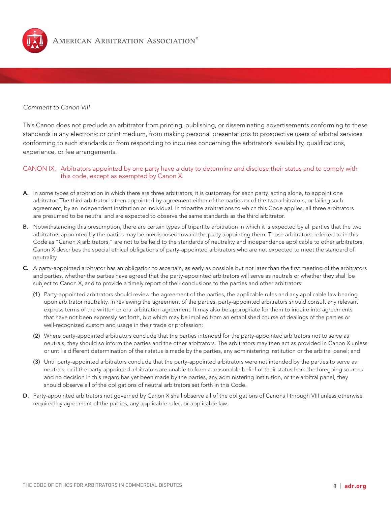

#### *Comment to Canon VIII*

This Canon does not preclude an arbitrator from printing, publishing, or disseminating advertisements conforming to these standards in any electronic or print medium, from making personal presentations to prospective users of arbitral services conforming to such standards or from responding to inquiries concerning the arbitrator's availability, qualifications, experience, or fee arrangements.

#### CANON IX: Arbitrators appointed by one party have a duty to determine and disclose their status and to comply with this code, except as exempted by Canon X.

- A. In some types of arbitration in which there are three arbitrators, it is customary for each party, acting alone, to appoint one arbitrator. The third arbitrator is then appointed by agreement either of the parties or of the two arbitrators, or failing such agreement, by an independent institution or individual. In tripartite arbitrations to which this Code applies, all three arbitrators are presumed to be neutral and are expected to observe the same standards as the third arbitrator.
- B. Notwithstanding this presumption, there are certain types of tripartite arbitration in which it is expected by all parties that the two arbitrators appointed by the parties may be predisposed toward the party appointing them. Those arbitrators, referred to in this Code as "Canon X arbitrators," are not to be held to the standards of neutrality and independence applicable to other arbitrators. Canon X describes the special ethical obligations of party-appointed arbitrators who are not expected to meet the standard of neutrality.
- C. A party-appointed arbitrator has an obligation to ascertain, as early as possible but not later than the first meeting of the arbitrators and parties, whether the parties have agreed that the party-appointed arbitrators will serve as neutrals or whether they shall be subject to Canon X, and to provide a timely report of their conclusions to the parties and other arbitrators:
	- (1) Party-appointed arbitrators should review the agreement of the parties, the applicable rules and any applicable law bearing upon arbitrator neutrality. In reviewing the agreement of the parties, party-appointed arbitrators should consult any relevant express terms of the written or oral arbitration agreement. It may also be appropriate for them to inquire into agreements that have not been expressly set forth, but which may be implied from an established course of dealings of the parties or well-recognized custom and usage in their trade or profession;
	- (2) Where party-appointed arbitrators conclude that the parties intended for the party-appointed arbitrators not to serve as neutrals, they should so inform the parties and the other arbitrators. The arbitrators may then act as provided in Canon X unless or until a different determination of their status is made by the parties, any administering institution or the arbitral panel; and
	- (3) Until party-appointed arbitrators conclude that the party-appointed arbitrators were not intended by the parties to serve as neutrals, or if the party-appointed arbitrators are unable to form a reasonable belief of their status from the foregoing sources and no decision in this regard has yet been made by the parties, any administering institution, or the arbitral panel, they should observe all of the obligations of neutral arbitrators set forth in this Code.
- D. Party-appointed arbitrators not governed by Canon X shall observe all of the obligations of Canons I through VIII unless otherwise required by agreement of the parties, any applicable rules, or applicable law.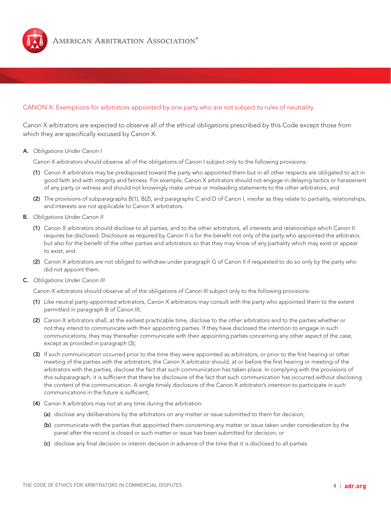

### CANON X: Exemptions for arbitrators appointed by one party who are not subject to rules of neutrality.

Canon X arbitrators are expected to observe all of the ethical obligations prescribed by this Code except those from which they are specifically excused by Canon X.

#### A. *Obligations Under Canon I*

Canon X arbitrators should observe all of the obligations of Canon I subject only to the following provisions:

- (1) Canon X arbitrators may be predisposed toward the party who appointed them but in all other respects are obligated to act in good faith and with integrity and fairness. For example, Canon X arbitrators should not engage in delaying tactics or harassment of any party or witness and should not knowingly make untrue or misleading statements to the other arbitrators; and
- (2) The provisions of subparagraphs B(1), B(2), and paragraphs C and D of Canon I, insofar as they relate to partiality, relationships, and interests are not applicable to Canon X arbitrators.
- B. *Obligations Under Canon II*
	- (1) Canon X arbitrators should disclose to all parties, and to the other arbitrators, all interests and relationships which Canon II requires be disclosed. Disclosure as required by Canon II is for the benefit not only of the party who appointed the arbitrator, but also for the benefit of the other parties and arbitrators so that they may know of any partiality which may exist or appear to exist; and
	- (2) Canon X arbitrators are not obliged to withdraw under paragraph G of Canon II if requested to do so only by the party who did not appoint them.
- C. *Obligations Under Canon III*

Canon X arbitrators should observe all of the obligations of Canon III subject only to the following provisions:

- (1) Like neutral party-appointed arbitrators, Canon X arbitrators may consult with the party who appointed them to the extent permitted in paragraph B of Canon III;
- (2) Canon X arbitrators shall, at the earliest practicable time, disclose to the other arbitrators and to the parties whether or not they intend to communicate with their appointing parties. If they have disclosed the intention to engage in such communications, they may thereafter communicate with their appointing parties concerning any other aspect of the case, except as provided in paragraph (3);
- (3) If such communication occurred prior to the time they were appointed as arbitrators, or prior to the first hearing or other meeting of the parties with the arbitrators, the Canon X arbitrator should, at or before the first hearing or meeting of the arbitrators with the parties, disclose the fact that such communication has taken place. In complying with the provisions of this subparagraph, it is sufficient that there be disclosure of the fact that such communication has occurred without disclosing the content of the communication. A single timely disclosure of the Canon X arbitrator's intention to participate in such communications in the future is sufficient;
- (4) Canon X arbitrators may not at any time during the arbitration:
	- (a) disclose any deliberations by the arbitrators on any matter or issue submitted to them for decision;
	- (b) communicate with the parties that appointed them concerning any matter or issue taken under consideration by the panel after the record is closed or such matter or issue has been submitted for decision; or
	- (c) disclose any final decision or interim decision in advance of the time that it is disclosed to all parties.